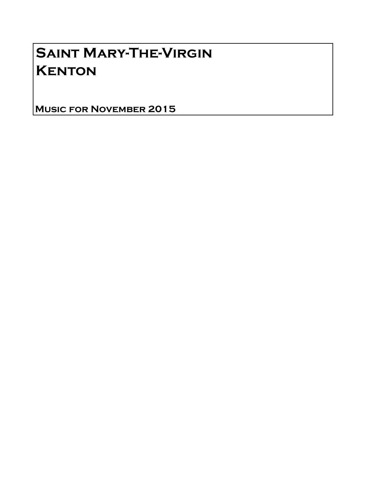# Saint Mary-The-Virgin **KENTON**

Music for November 2015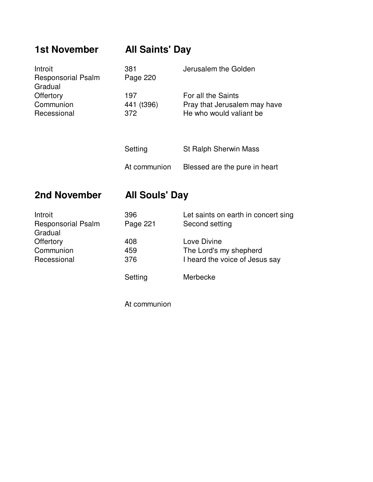## **1st November All Saints' Day**

| Introit<br><b>Responsorial Psalm</b><br>Gradual | 381<br>Page 220          | Jerusalem the Golden                                                          |
|-------------------------------------------------|--------------------------|-------------------------------------------------------------------------------|
| Offertory<br>Communion<br>Recessional           | 197<br>441 (t396)<br>372 | For all the Saints<br>Pray that Jerusalem may have<br>He who would valiant be |
|                                                 | Setting                  | <b>St Ralph Sherwin Mass</b>                                                  |
|                                                 | At communion             | Blessed are the pure in heart                                                 |

### **2nd November All Souls' Day**

| Introit                   | 396      | Let saints on earth in concert sing |
|---------------------------|----------|-------------------------------------|
| <b>Responsorial Psalm</b> | Page 221 | Second setting                      |
| Gradual                   |          |                                     |
| Offertory                 | 408      | Love Divine                         |
| Communion                 | 459      | The Lord's my shepherd              |
| Recessional               | 376      | I heard the voice of Jesus say      |
|                           |          |                                     |
|                           | Setting  | Merbecke                            |

At communion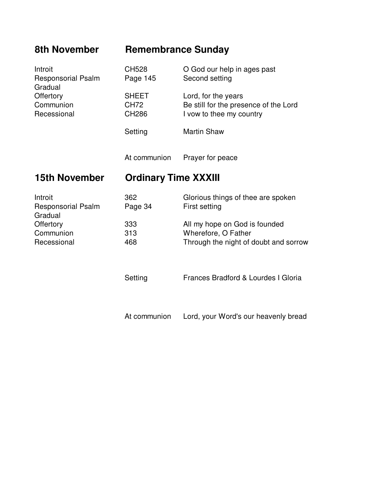### **8th November Remembrance Sunday**

| Introit<br><b>Responsorial Psalm</b><br>Gradual | CH528<br>Page 145             | O God our help in ages past<br>Second setting                                            |
|-------------------------------------------------|-------------------------------|------------------------------------------------------------------------------------------|
| Offertory<br>Communion<br>Recessional           | <b>SHEET</b><br>CH72<br>CH286 | Lord, for the years<br>Be still for the presence of the Lord<br>I vow to thee my country |
|                                                 | Setting                       | <b>Martin Shaw</b>                                                                       |
|                                                 | At communion                  | Prayer for peace                                                                         |
| <b>15th November</b>                            | <b>Ordinary Time XXXIII</b>   |                                                                                          |
| Introit<br><b>Responsorial Psalm</b>            | 362<br>Page 34                | Glorious things of thee are spoken<br>First setting                                      |
| Gradual                                         |                               |                                                                                          |

Setting Frances Bradford & Lourdes I Gloria

At communion Lord, your Word's our heavenly bread